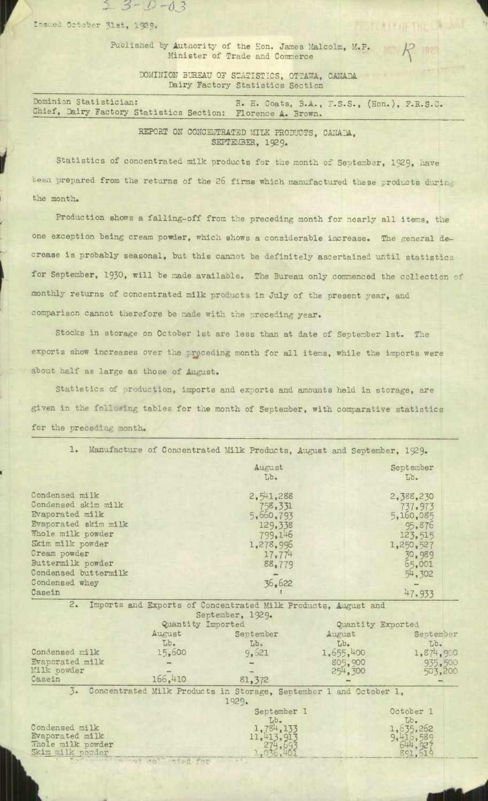Issued October 31st, 1929.

 $2 - 3 - 1 - 0.3$ 

Published by Authority of the Hon. James Malcolm, M.P. Minister of Trade and Commerce

> DOMINION BUREAU OF STATISTICS, OTTAWA, CANADA Dairy Factory Statistics Section

Dominion Statistician: R. H. Coats, B.A., F.S.S., (Hon.), F.R.S.C. Chief, Liry Factory Statistics Section: Florence A. Brown.

> REPORT ON CONCENTRATED MILK PRODUCTS, CANADA, SEPTEMBER, 1929.

Statistics of concentrated milk products for tie month of September, 1929, have been prepared from the returns of the 26 firms which manufactured these products during the month.

Production shows a falling-off from the preceding month for nearly all items, the one exception being cream powder, which shows a considerable increase. The general decrease is probably seasonal, but this cannot be definitely ascertained until statistics for September, 1930, will be made available. The Bureau only commenced the collection of monthly returns of concentrated milk products in July of the present year, and comparison cannot therefore be made with the preceding year.

Stocks in storage on October 1st **are** less than at date of September 1st. The exports show increases over the preceding month for all items, while the imports were about half as large as those of August.

Statistics of production, imports and exports and amounts held in storage, are given in the following tables for the month of September, with comparative statistics for the preceding month.

|                                                                                                                                                                                                          | 1. Manufacture of Concentrated Milk Products, August and September, 1929. |                                                                                                     |                     |                                                                                                   |  |
|----------------------------------------------------------------------------------------------------------------------------------------------------------------------------------------------------------|---------------------------------------------------------------------------|-----------------------------------------------------------------------------------------------------|---------------------|---------------------------------------------------------------------------------------------------|--|
|                                                                                                                                                                                                          |                                                                           | August<br>Lb.                                                                                       |                     | September<br>Lb.                                                                                  |  |
| Condensed milk<br>Condensed skim milk<br>Evaporated milk<br>Evaporated skim milk<br>Whole milk powder<br>Skim milk powder<br>Cream powder<br>Buttermilk powder<br>Condensed buttermilk<br>Condensed whey |                                                                           | 2,541,288<br>758, 331<br>5,660,793<br>129,338<br>799,146<br>1,278,996<br>17,774<br>88.779<br>36,622 |                     | 2,388,230<br>737,973<br>5,160,085<br>95,876<br>123,515<br>1,250,527<br>30,989<br>65,001<br>54,302 |  |
| Casein                                                                                                                                                                                                   |                                                                           |                                                                                                     |                     | 47,933                                                                                            |  |
| 2.<br>Imports and Exports of Concentrated Milk Products, August and<br>September, 1929.                                                                                                                  |                                                                           |                                                                                                     |                     |                                                                                                   |  |
|                                                                                                                                                                                                          | Quantity Imported                                                         |                                                                                                     |                     | Quantity Exported                                                                                 |  |
|                                                                                                                                                                                                          | August                                                                    | September                                                                                           | August              | September                                                                                         |  |
| Condensed milk                                                                                                                                                                                           | Lb.<br>15,600                                                             | Lb.<br>9.621                                                                                        | Lb.<br>1,655,400    | Lb.<br>1,874,900                                                                                  |  |
| Evaporated milk<br>Milk powder<br>Casein                                                                                                                                                                 | 166,410                                                                   | 81.372                                                                                              | 805,900<br>254, 300 | 935,500<br>503.200                                                                                |  |
| 3. Concentrated Milk Products in Storage, September 1 and October 1,                                                                                                                                     |                                                                           |                                                                                                     |                     |                                                                                                   |  |
| 1929.                                                                                                                                                                                                    |                                                                           |                                                                                                     |                     |                                                                                                   |  |
|                                                                                                                                                                                                          | September 1                                                               |                                                                                                     |                     | October 1                                                                                         |  |
| Condensed milk<br>Evaporated milk<br>Whole milk powder<br>Skim milk powder                                                                                                                               |                                                                           | Lb.<br>1,784,133<br>11,413,913                                                                      |                     | Lb.<br>1,635,262<br>9,416,589                                                                     |  |

*ANN* 

THE CHINNAIL